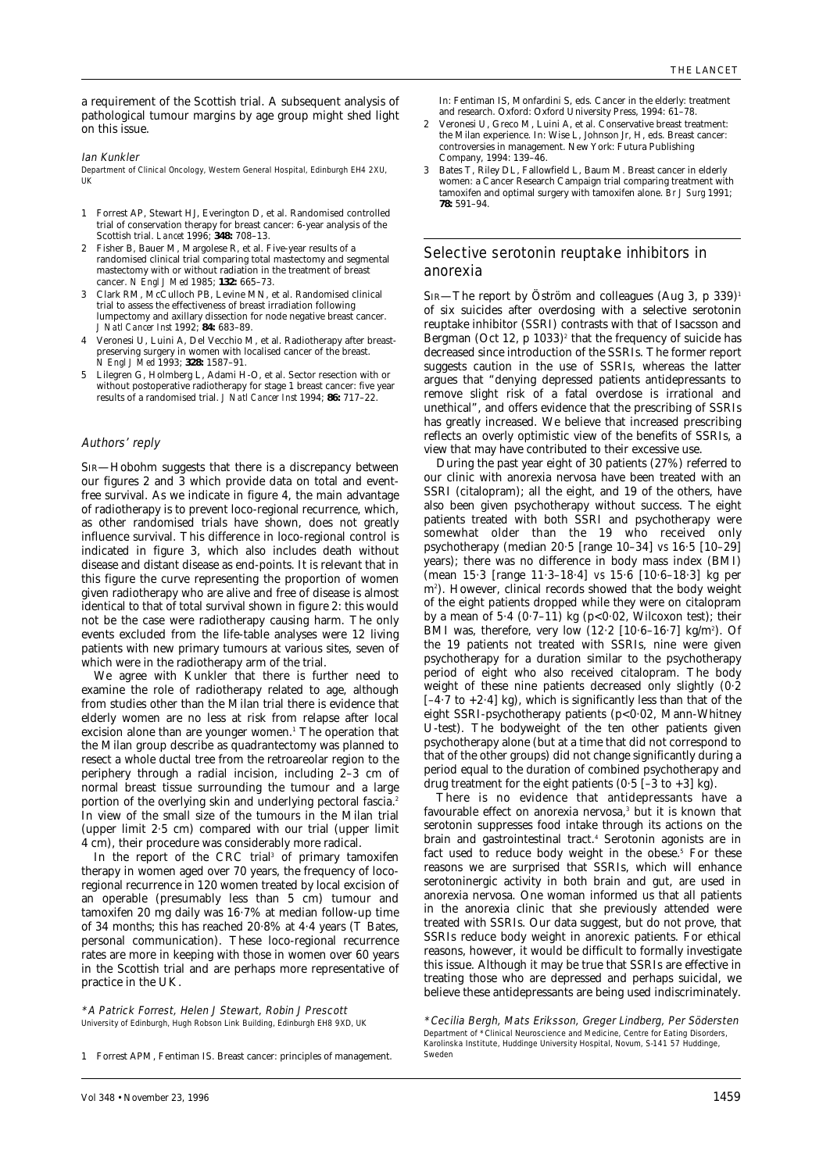a requirement of the Scottish trial. A subsequent analysis of pathological tumour margins by age group might shed light on this issue.

Ian Kunkler

Department of Clinical Oncology, Western General Hospital, Edinburgh EH4 2XU, UK

- 1 Forrest AP, Stewart HJ, Everington D, et al. Randomised controlled trial of conservation therapy for breast cancer: 6-year analysis of the Scottish trial. *Lancet* 1996; **348:** 708–13.
- 2 Fisher B, Bauer M, Margolese R, et al. Five-year results of a randomised clinical trial comparing total mastectomy and segmental mastectomy with or without radiation in the treatment of breast cancer. *N Engl J Med* 1985; **132:** 665–73.
- 3 Clark RM, McCulloch PB, Levine MN, et al. Randomised clinical trial to assess the effectiveness of breast irradiation following lumpectomy and axillary dissection for node negative breast cancer. *J Natl Cancer Inst* 1992; **84:** 683–89.
- 4 Veronesi U, Luini A, Del Vecchio M, et al. Radiotherapy after breastpreserving surgery in women with localised cancer of the breast. *N Engl J Med* 1993; **328:** 1587–91.
- Lilegren G, Holmberg L, Adami H-O, et al. Sector resection with or without postoperative radiotherapy for stage 1 breast cancer: five year results of a randomised trial. *J Natl Cancer Inst* 1994; **86:** 717–22.

#### Authors' reply

SIR—Hobohm suggests that there is a discrepancy between our figures 2 and  $\widetilde{3}$  which provide data on total and eventfree survival. As we indicate in figure 4, the main advantage of radiotherapy is to prevent loco-regional recurrence, which, as other randomised trials have shown, does not greatly influence survival. This difference in loco-regional control is indicated in figure 3, which also includes death without disease and distant disease as end-points. It is relevant that in this figure the curve representing the proportion of women given radiotherapy who are alive and free of disease is almost identical to that of total survival shown in figure 2: this would not be the case were radiotherapy causing harm. The only events excluded from the life-table analyses were 12 living patients with new primary tumours at various sites, seven of which were in the radiotherapy arm of the trial.

We agree with Kunkler that there is further need to examine the role of radiotherapy related to age, although from studies other than the Milan trial there is evidence that elderly women are no less at risk from relapse after local excision alone than are younger women.<sup>1</sup> The operation that the Milan group describe as quadrantectomy was planned to resect a whole ductal tree from the retroareolar region to the periphery through a radial incision, including 2–3 cm of normal breast tissue surrounding the tumour and a large portion of the overlying skin and underlying pectoral fascia.<sup>2</sup> In view of the small size of the tumours in the Milan trial (upper limit 2·5 cm) compared with our trial (upper limit 4 cm), their procedure was considerably more radical.

In the report of the CRC trial<sup>3</sup> of primary tamoxifen therapy in women aged over 70 years, the frequency of locoregional recurrence in 120 women treated by local excision of an operable (presumably less than 5 cm) tumour and tamoxifen 20 mg daily was 16·7% at median follow-up time of 34 months; this has reached 20·8% at 4·4 years (T Bates, personal communication). These loco-regional recurrence rates are more in keeping with those in women over 60 years in the Scottish trial and are perhaps more representative of practice in the UK.

\*A Patrick Forrest, Helen J Stewart, Robin J Prescott University of Edinburgh, Hugh Robson Link Building, Edinburgh EH8 9XD, UK In: Fentiman IS, Monfardini S, eds. Cancer in the elderly: treatment and research. Oxford: Oxford University Press, 1994: 61–78.

- 2 Veronesi U, Greco M, Luini A, et al. Conservative breast treatment: the Milan experience. In: Wise L, Johnson Jr, H, eds. Breast cancer: controversies in management. New York: Futura Publishing Company, 1994: 139–46.
- 3 Bates T, Riley DL, Fallowfield L, Baum M. Breast cancer in elderly women: a Cancer Research Campaign trial comparing treatment with tamoxifen and optimal surgery with tamoxifen alone. *Br J Surg* 1991; **78:** 591–94.

### Selective serotonin reuptake inhibitors in anorexia

SIR—The report by Öström and colleagues (Aug 3, p 339)<sup>1</sup> of six suicides after overdosing with a selective serotonin reuptake inhibitor (SSRI) contrasts with that of Isacsson and Bergman (Oct 12,  $p$  1033)<sup>2</sup> that the frequency of suicide has decreased since introduction of the SSRIs. The former report suggests caution in the use of SSRIs, whereas the latter argues that "denying depressed patients antidepressants to remove slight risk of a fatal overdose is irrational and unethical", and offers evidence that the prescribing of SSRIs has greatly increased. We believe that increased prescribing reflects an overly optimistic view of the benefits of SSRIs, a view that may have contributed to their excessive use.

During the past year eight of 30 patients (27%) referred to our clinic with anorexia nervosa have been treated with an SSRI (citalopram); all the eight, and 19 of the others, have also been given psychotherapy without success. The eight patients treated with both SSRI and psychotherapy were somewhat older than the 19 who received only psychotherapy (median 20·5 [range 10–34] *vs* 16·5 [10–29] years); there was no difference in body mass index (BMI) (mean 15·3 [range 11·3–18·4] *vs* 15·6 [10·6–18·3] kg per m2 ). However, clinical records showed that the body weight of the eight patients dropped while they were on citalopram by a mean of 5.4  $(0.7-11)$  kg  $(p<0.02$ , Wilcoxon test); their BMI was, therefore, very low (12.2 [10.6–16.7] kg/m<sup>2</sup>). Of the 19 patients not treated with SSRIs, nine were given psychotherapy for a duration similar to the psychotherapy period of eight who also received citalopram. The body weight of these nine patients decreased only slightly (0·2 [–4·7 to +2·4] kg), which is significantly less than that of the eight SSRI-psychotherapy patients (p<0.02, Mann-Whitney U-test). The bodyweight of the ten other patients given psychotherapy alone (but at a time that did not correspond to that of the other groups) did not change significantly during a period equal to the duration of combined psychotherapy and drug treatment for the eight patients  $(0.5 [-3 to +3] kg)$ .

There is no evidence that antidepressants have a favourable effect on anorexia nervosa,<sup>3</sup> but it is known that serotonin suppresses food intake through its actions on the brain and gastrointestinal tract.4 Serotonin agonists are in fact used to reduce body weight in the obese.<sup>5</sup> For these reasons we are surprised that SSRIs, which will enhance serotoninergic activity in both brain and gut, are used in anorexia nervosa. One woman informed us that all patients in the anorexia clinic that she previously attended were treated with SSRIs. Our data suggest, but do not prove, that SSRIs reduce body weight in anorexic patients. For ethical reasons, however, it would be difficult to formally investigate this issue. Although it may be true that SSRIs are effective in treating those who are depressed and perhaps suicidal, we believe these antidepressants are being used indiscriminately.

<sup>1</sup> Forrest APM, Fentiman IS. Breast cancer: principles of management.

<sup>\*</sup>Cecilia Bergh, Mats Eriksson, Greger Lindberg, Per Södersten Department of \*Clinical Neuroscience and Medicine, Centre for Eating Disorders, Karolinska Institute, Huddinge University Hospital, Novum, S-141 57 Huddinge, Sweden